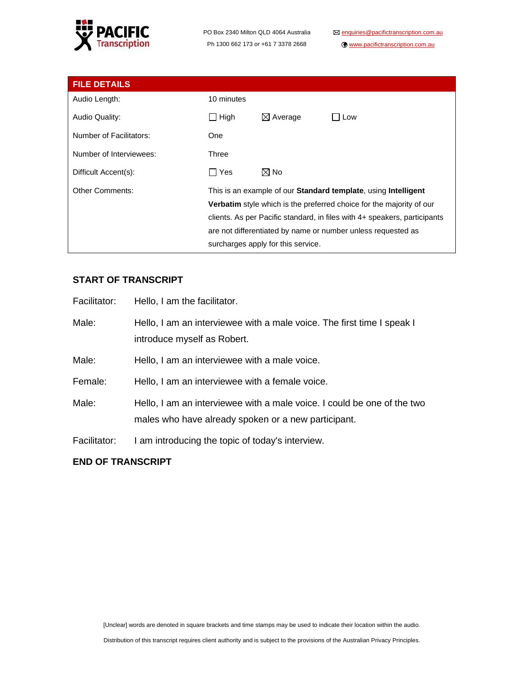

www.pacifictranscription.com.au

| <b>FILE DETAILS</b>     |                                                                           |                     |     |
|-------------------------|---------------------------------------------------------------------------|---------------------|-----|
| Audio Length:           | 10 minutes                                                                |                     |     |
| Audio Quality:          | $\Box$ High                                                               | $\boxtimes$ Average | Low |
| Number of Facilitators: | <b>One</b>                                                                |                     |     |
| Number of Interviewees: | Three                                                                     |                     |     |
| Difficult Accent(s):    | T Yes                                                                     | $\boxtimes$ No      |     |
| <b>Other Comments:</b>  | This is an example of our Standard template, using Intelligent            |                     |     |
|                         | Verbatim style which is the preferred choice for the majority of our      |                     |     |
|                         | clients. As per Pacific standard, in files with 4+ speakers, participants |                     |     |
|                         | are not differentiated by name or number unless requested as              |                     |     |
|                         | surcharges apply for this service.                                        |                     |     |

## **START OF TRANSCRIPT**

| Facilitator: | Hello, I am the facilitator.                                                                                                   |
|--------------|--------------------------------------------------------------------------------------------------------------------------------|
| Male:        | Hello, I am an interviewee with a male voice. The first time I speak I<br>introduce myself as Robert.                          |
| Male:        | Hello, I am an interviewee with a male voice.                                                                                  |
| Female:      | Hello, I am an interviewee with a female voice.                                                                                |
| Male:        | Hello, I am an interviewee with a male voice. I could be one of the two<br>males who have already spoken or a new participant. |
| Facilitator: | I am introducing the topic of today's interview.                                                                               |

### **END OF TRANSCRIPT**

[Unclear] words are denoted in square brackets and time stamps may be used to indicate their location within the audio.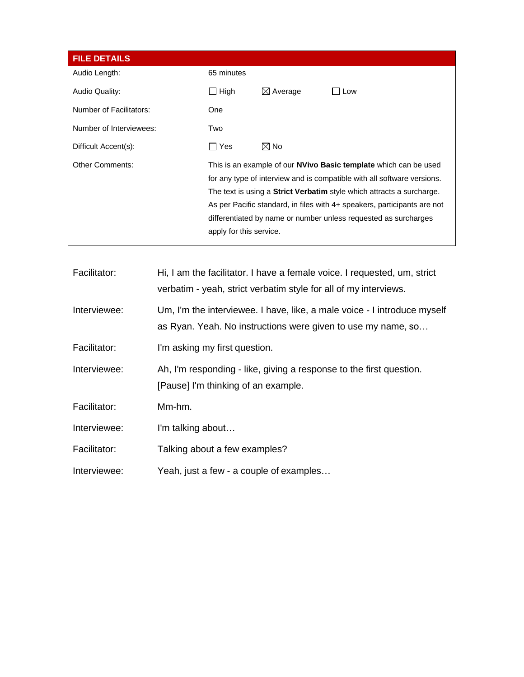| <b>FILE DETAILS</b>     |                         |                     |                                                                                                                                                                                                                                                                                                                                                                                   |
|-------------------------|-------------------------|---------------------|-----------------------------------------------------------------------------------------------------------------------------------------------------------------------------------------------------------------------------------------------------------------------------------------------------------------------------------------------------------------------------------|
| Audio Length:           | 65 minutes              |                     |                                                                                                                                                                                                                                                                                                                                                                                   |
| Audio Quality:          | High                    | $\boxtimes$ Average | Low                                                                                                                                                                                                                                                                                                                                                                               |
| Number of Facilitators: | One                     |                     |                                                                                                                                                                                                                                                                                                                                                                                   |
| Number of Interviewees: | Two                     |                     |                                                                                                                                                                                                                                                                                                                                                                                   |
| Difficult Accent(s):    | Yes                     | $\boxtimes$ No      |                                                                                                                                                                                                                                                                                                                                                                                   |
| <b>Other Comments:</b>  | apply for this service. |                     | This is an example of our <b>NVivo Basic template</b> which can be used<br>for any type of interview and is compatible with all software versions.<br>The text is using a <b>Strict Verbatim</b> style which attracts a surcharge.<br>As per Pacific standard, in files with 4+ speakers, participants are not<br>differentiated by name or number unless requested as surcharges |

| Facilitator: | Hi, I am the facilitator. I have a female voice. I requested, um, strict<br>verbatim - yeah, strict verbatim style for all of my interviews. |
|--------------|----------------------------------------------------------------------------------------------------------------------------------------------|
| Interviewee: | Um, I'm the interviewee. I have, like, a male voice - I introduce myself<br>as Ryan. Yeah. No instructions were given to use my name, so     |
| Facilitator: | I'm asking my first question.                                                                                                                |
| Interviewee: | Ah, I'm responding - like, giving a response to the first question.<br>[Pause] I'm thinking of an example.                                   |
| Facilitator: | Mm-hm.                                                                                                                                       |
| Interviewee: | I'm talking about                                                                                                                            |
| Facilitator: | Talking about a few examples?                                                                                                                |
| Interviewee: | Yeah, just a few - a couple of examples                                                                                                      |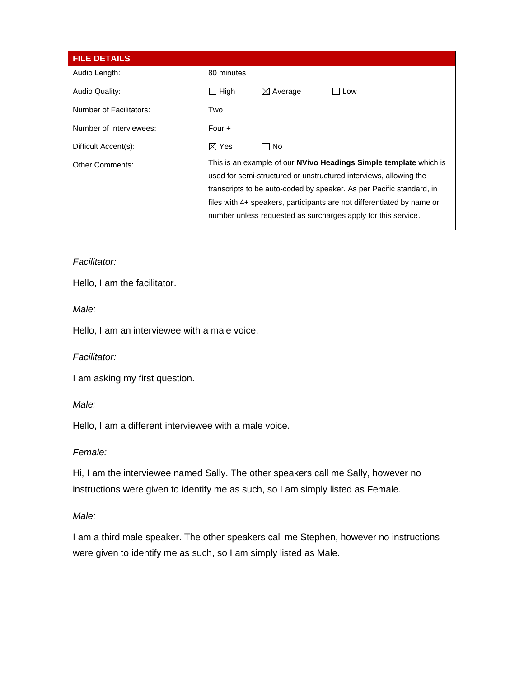| <b>FILE DETAILS</b>     |                                                                                                                                                                                                                                                                                                                                                                  |                     |     |
|-------------------------|------------------------------------------------------------------------------------------------------------------------------------------------------------------------------------------------------------------------------------------------------------------------------------------------------------------------------------------------------------------|---------------------|-----|
| Audio Length:           | 80 minutes                                                                                                                                                                                                                                                                                                                                                       |                     |     |
| Audio Quality:          | High<br>$\blacksquare$                                                                                                                                                                                                                                                                                                                                           | $\boxtimes$ Average | Low |
| Number of Facilitators: | Two                                                                                                                                                                                                                                                                                                                                                              |                     |     |
| Number of Interviewees: | Four $+$                                                                                                                                                                                                                                                                                                                                                         |                     |     |
| Difficult Accent(s):    | $\boxtimes$ Yes                                                                                                                                                                                                                                                                                                                                                  | No                  |     |
| <b>Other Comments:</b>  | This is an example of our <b>NVivo Headings Simple template</b> which is<br>used for semi-structured or unstructured interviews, allowing the<br>transcripts to be auto-coded by speaker. As per Pacific standard, in<br>files with 4+ speakers, participants are not differentiated by name or<br>number unless requested as surcharges apply for this service. |                     |     |

## *Facilitator:*

Hello, I am the facilitator.

*Male:*

Hello, I am an interviewee with a male voice.

*Facilitator:*

I am asking my first question.

*Male:*

Hello, I am a different interviewee with a male voice.

### *Female:*

Hi, I am the interviewee named Sally. The other speakers call me Sally, however no instructions were given to identify me as such, so I am simply listed as Female.

### *Male:*

I am a third male speaker. The other speakers call me Stephen, however no instructions were given to identify me as such, so I am simply listed as Male.